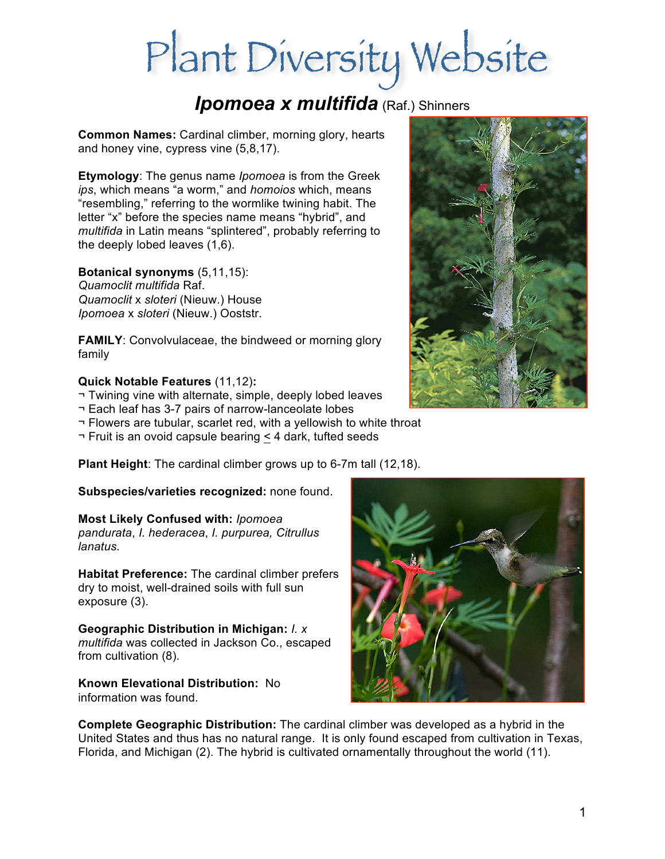# Plant Diversity Website

# *Ipomoea x multifida* (Raf.) Shinners

**Common Names:** Cardinal climber, morning glory, hearts and honey vine, cypress vine (5,8,17).

**Etymology**: The genus name *Ipomoea* is from the Greek *ips*, which means "a worm," and *homoios* which, means "resembling," referring to the wormlike twining habit. The letter "x" before the species name means "hybrid", and *multifida* in Latin means "splintered", probably referring to the deeply lobed leaves (1,6).

**Botanical synonyms** (5,11,15): *Quamoclit multifida* Raf. *Quamoclit* x *sloteri* (Nieuw.) House *Ipomoea* x *sloteri* (Nieuw.) Ooststr.

**FAMILY:** Convolvulaceae, the bindweed or morning glory family

#### **Quick Notable Features** (11,12)**:**

- ¬ Twining vine with alternate, simple, deeply lobed leaves
- ¬ Each leaf has 3-7 pairs of narrow-lanceolate lobes
- ¬ Flowers are tubular, scarlet red, with a yellowish to white throat
- ¬ Fruit is an ovoid capsule bearing < 4 dark, tufted seeds

**Plant Height**: The cardinal climber grows up to 6-7m tall (12,18).

**Subspecies/varieties recognized:** none found.

## **Most Likely Confused with:** *Ipomoea*

*pandurata*, *I. hederacea*, *I. purpurea, Citrullus lanatus.*

**Habitat Preference:** The cardinal climber prefers dry to moist, well-drained soils with full sun exposure (3).

**Geographic Distribution in Michigan:** *I. x multifida* was collected in Jackson Co., escaped from cultivation (8).

**Known Elevational Distribution:** No information was found.



**Complete Geographic Distribution:** The cardinal climber was developed as a hybrid in the United States and thus has no natural range. It is only found escaped from cultivation in Texas, Florida, and Michigan (2). The hybrid is cultivated ornamentally throughout the world (11).

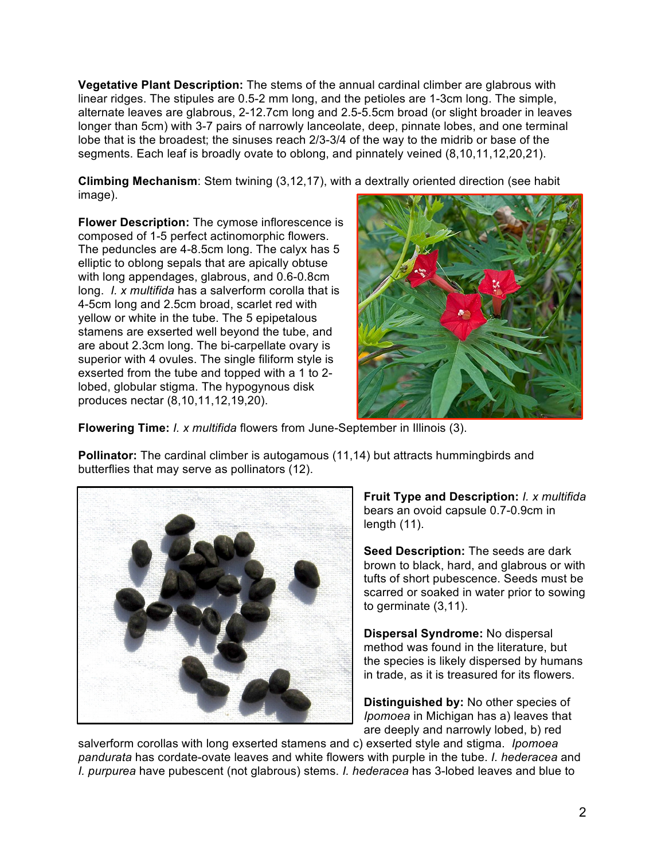**Vegetative Plant Description:** The stems of the annual cardinal climber are glabrous with linear ridges. The stipules are 0.5-2 mm long, and the petioles are 1-3cm long. The simple, alternate leaves are glabrous, 2-12.7cm long and 2.5-5.5cm broad (or slight broader in leaves longer than 5cm) with 3-7 pairs of narrowly lanceolate, deep, pinnate lobes, and one terminal lobe that is the broadest; the sinuses reach 2/3-3/4 of the way to the midrib or base of the segments. Each leaf is broadly ovate to oblong, and pinnately veined (8,10,11,12,20,21).

**Climbing Mechanism**: Stem twining (3,12,17), with a dextrally oriented direction (see habit image).

**Flower Description:** The cymose inflorescence is composed of 1-5 perfect actinomorphic flowers. The peduncles are 4-8.5cm long. The calyx has 5 elliptic to oblong sepals that are apically obtuse with long appendages, glabrous, and 0.6-0.8cm long. *I. x multifida* has a salverform corolla that is 4-5cm long and 2.5cm broad, scarlet red with yellow or white in the tube. The 5 epipetalous stamens are exserted well beyond the tube, and are about 2.3cm long. The bi-carpellate ovary is superior with 4 ovules. The single filiform style is exserted from the tube and topped with a 1 to 2 lobed, globular stigma. The hypogynous disk produces nectar (8,10,11,12,19,20).



**Flowering Time:** *I. x multifida* flowers from June-September in Illinois (3).

**Pollinator:** The cardinal climber is autogamous (11,14) but attracts hummingbirds and butterflies that may serve as pollinators (12).



**Fruit Type and Description:** *I. x multifida* bears an ovoid capsule 0.7-0.9cm in length (11).

**Seed Description:** The seeds are dark brown to black, hard, and glabrous or with tufts of short pubescence. Seeds must be scarred or soaked in water prior to sowing to germinate (3,11).

**Dispersal Syndrome:** No dispersal method was found in the literature, but the species is likely dispersed by humans in trade, as it is treasured for its flowers.

**Distinguished by:** No other species of *Ipomoea* in Michigan has a) leaves that are deeply and narrowly lobed, b) red

salverform corollas with long exserted stamens and c) exserted style and stigma. *Ipomoea pandurata* has cordate-ovate leaves and white flowers with purple in the tube. *I. hederacea* and *I. purpurea* have pubescent (not glabrous) stems. *I. hederacea* has 3-lobed leaves and blue to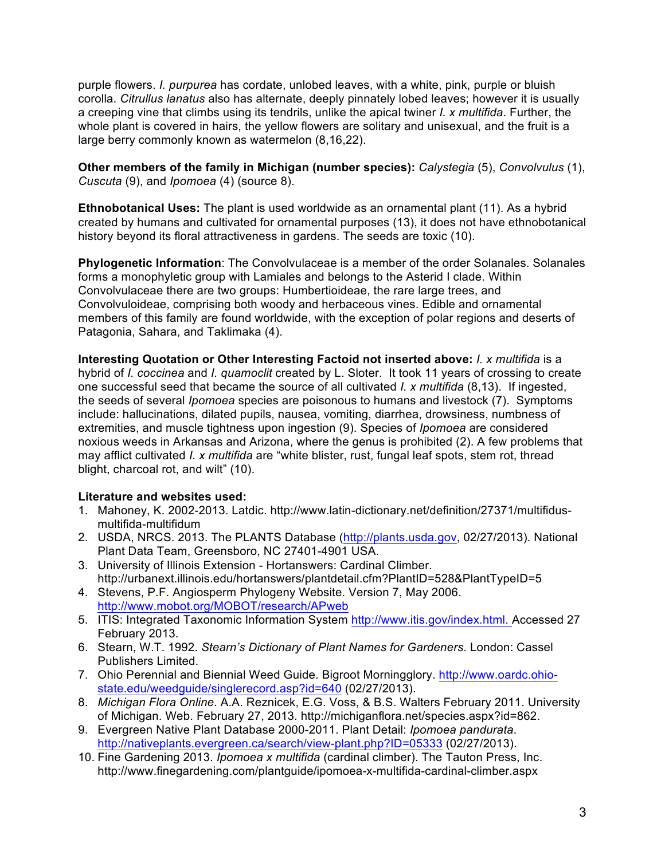purple flowers. *I. purpurea* has cordate, unlobed leaves, with a white, pink, purple or bluish corolla. *Citrullus lanatus* also has alternate, deeply pinnately lobed leaves; however it is usually a creeping vine that climbs using its tendrils, unlike the apical twiner *I. x multifida*. Further, the whole plant is covered in hairs, the yellow flowers are solitary and unisexual, and the fruit is a large berry commonly known as watermelon (8,16,22).

**Other members of the family in Michigan (number species):** *Calystegia* (5), *Convolvulus* (1), *Cuscuta* (9), and *Ipomoea* (4) (source 8).

**Ethnobotanical Uses:** The plant is used worldwide as an ornamental plant (11). As a hybrid created by humans and cultivated for ornamental purposes (13), it does not have ethnobotanical history beyond its floral attractiveness in gardens. The seeds are toxic (10).

**Phylogenetic Information**: The Convolvulaceae is a member of the order Solanales. Solanales forms a monophyletic group with Lamiales and belongs to the Asterid I clade. Within Convolvulaceae there are two groups: Humbertioideae, the rare large trees, and Convolvuloideae, comprising both woody and herbaceous vines. Edible and ornamental members of this family are found worldwide, with the exception of polar regions and deserts of Patagonia, Sahara, and Taklimaka (4).

**Interesting Quotation or Other Interesting Factoid not inserted above:** *I. x multifida* is a hybrid of *I. coccinea* and *I. quamoclit* created by L. Sloter. It took 11 years of crossing to create one successful seed that became the source of all cultivated *I. x multifida* (8,13). If ingested, the seeds of several *Ipomoea* species are poisonous to humans and livestock (7). Symptoms include: hallucinations, dilated pupils, nausea, vomiting, diarrhea, drowsiness, numbness of extremities, and muscle tightness upon ingestion (9). Species of *Ipomoea* are considered noxious weeds in Arkansas and Arizona, where the genus is prohibited (2). A few problems that may afflict cultivated *I. x multifida* are "white blister, rust, fungal leaf spots, stem rot, thread blight, charcoal rot, and wilt" (10).

#### **Literature and websites used:**

- 1. Mahoney, K. 2002-2013. Latdic. http://www.latin-dictionary.net/definition/27371/multifidusmultifida-multifidum
- 2. USDA, NRCS. 2013. The PLANTS Database (http://plants.usda.gov, 02/27/2013). National Plant Data Team, Greensboro, NC 27401-4901 USA.
- 3. University of Illinois Extension Hortanswers: Cardinal Climber. http://urbanext.illinois.edu/hortanswers/plantdetail.cfm?PlantID=528&PlantTypeID=5
- 4. Stevens, P.F. Angiosperm Phylogeny Website. Version 7, May 2006. http://www.mobot.org/MOBOT/research/APweb
- 5. ITIS: Integrated Taxonomic Information System http://www.itis.gov/index.html. Accessed 27 February 2013.
- 6. Stearn, W.T. 1992. *Stearn's Dictionary of Plant Names for Gardeners*. London: Cassel Publishers Limited.
- 7. Ohio Perennial and Biennial Weed Guide. Bigroot Morningglory. http://www.oardc.ohiostate.edu/weedguide/singlerecord.asp?id=640 (02/27/2013).
- 8. *Michigan Flora Online*. A.A. Reznicek, E.G. Voss, & B.S. Walters February 2011. University of Michigan. Web. February 27, 2013. http://michiganflora.net/species.aspx?id=862.
- 9. Evergreen Native Plant Database 2000-2011. Plant Detail: *Ipomoea pandurata*. http://nativeplants.evergreen.ca/search/view-plant.php?ID=05333 (02/27/2013).
- 10. Fine Gardening 2013. *Ipomoea x multifida* (cardinal climber). The Tauton Press, Inc. http://www.finegardening.com/plantguide/ipomoea-x-multifida-cardinal-climber.aspx